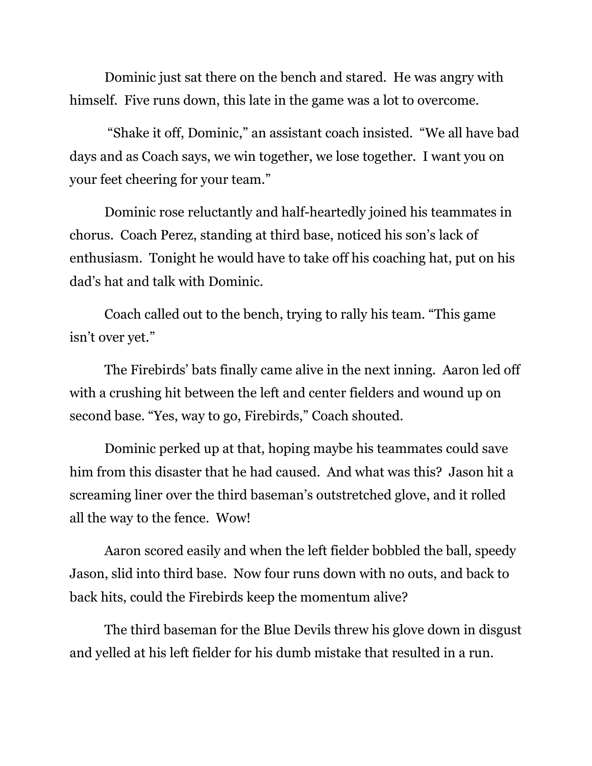Dominic just sat there on the bench and stared. He was angry with himself. Five runs down, this late in the game was a lot to overcome.

"Shake it off, Dominic," an assistant coach insisted. "We all have bad days and as Coach says, we win together, we lose together. I want you on your feet cheering for your team."

Dominic rose reluctantly and half-heartedly joined his teammates in chorus. Coach Perez, standing at third base, noticed his son's lack of enthusiasm. Tonight he would have to take off his coaching hat, put on his dad's hat and talk with Dominic.

Coach called out to the bench, trying to rally his team. "This game isn't over yet."

The Firebirds' bats finally came alive in the next inning. Aaron led off with a crushing hit between the left and center fielders and wound up on second base. "Yes, way to go, Firebirds," Coach shouted.

Dominic perked up at that, hoping maybe his teammates could save him from this disaster that he had caused. And what was this? Jason hit a screaming liner over the third baseman's outstretched glove, and it rolled all the way to the fence. Wow!

Aaron scored easily and when the left fielder bobbled the ball, speedy Jason, slid into third base. Now four runs down with no outs, and back to back hits, could the Firebirds keep the momentum alive?

The third baseman for the Blue Devils threw his glove down in disgust and yelled at his left fielder for his dumb mistake that resulted in a run.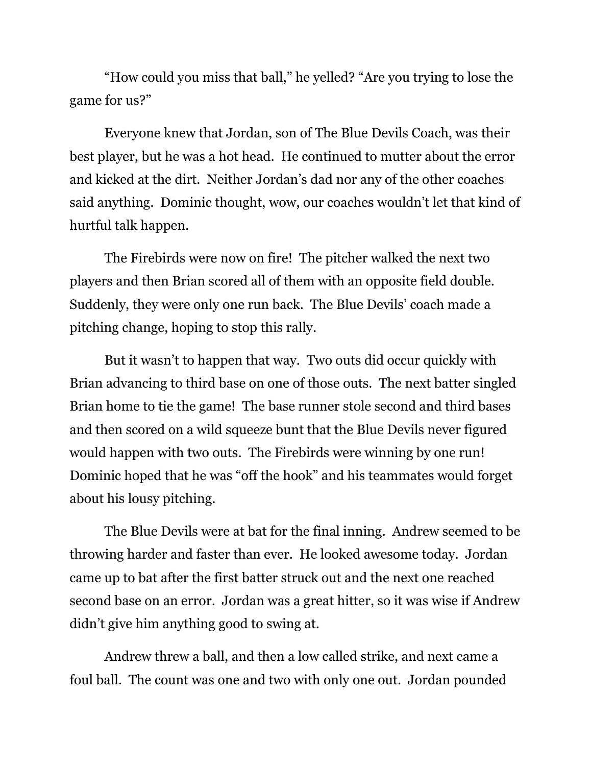"How could you miss that ball," he yelled? "Are you trying to lose the game for us?"

Everyone knew that Jordan, son of The Blue Devils Coach, was their best player, but he was a hot head. He continued to mutter about the error and kicked at the dirt. Neither Jordan's dad nor any of the other coaches said anything. Dominic thought, wow, our coaches wouldn't let that kind of hurtful talk happen.

The Firebirds were now on fire! The pitcher walked the next two players and then Brian scored all of them with an opposite field double. Suddenly, they were only one run back. The Blue Devils' coach made a pitching change, hoping to stop this rally.

But it wasn't to happen that way. Two outs did occur quickly with Brian advancing to third base on one of those outs. The next batter singled Brian home to tie the game! The base runner stole second and third bases and then scored on a wild squeeze bunt that the Blue Devils never figured would happen with two outs. The Firebirds were winning by one run! Dominic hoped that he was "off the hook" and his teammates would forget about his lousy pitching.

The Blue Devils were at bat for the final inning. Andrew seemed to be throwing harder and faster than ever. He looked awesome today. Jordan came up to bat after the first batter struck out and the next one reached second base on an error. Jordan was a great hitter, so it was wise if Andrew didn't give him anything good to swing at.

Andrew threw a ball, and then a low called strike, and next came a foul ball. The count was one and two with only one out. Jordan pounded